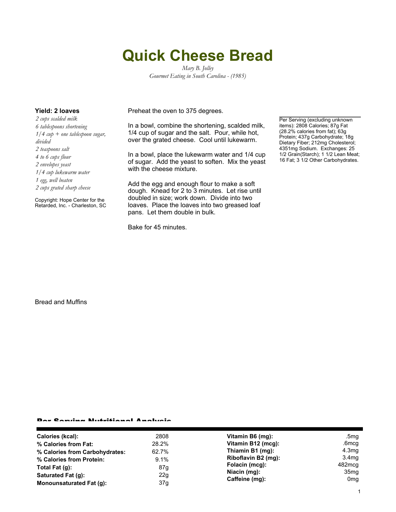# **Quick Cheese Bread**

*Mary B. Jolley Gourmet Eating in South Carolina - (1985)*

*2 cups scalded milk 6 tablespoons shortening 1/4 cup + one tablespoon sugar, divided 2 teaspoons salt 4 to 6 cups flour 2 envelopes yeast 1/4 cup lukewarm water 1 egg, well beaten 2 cups grated sharp cheese*

Copyright: Hope Center for the Retarded, Inc. - Charleston, SC

**Yield: 2 loaves** Preheat the oven to 375 degrees.

In a bowl, combine the shortening, scalded milk, 1/4 cup of sugar and the salt. Pour, while hot, over the grated cheese. Cool until lukewarm.

In a bowl, place the lukewarm water and 1/4 cup of sugar. Add the yeast to soften. Mix the yeast with the cheese mixture.

Add the egg and enough flour to make a soft dough. Knead for 2 to 3 minutes. Let rise until doubled in size; work down. Divide into two loaves. Place the loaves into two greased loaf pans. Let them double in bulk.

Bake for 45 minutes.

Per Serving (excluding unknown items): 2808 Calories; 87g Fat (28.2% calories from fat); 63g Protein; 437g Carbohydrate; 18g Dietary Fiber; 212mg Cholesterol; 4351mg Sodium. Exchanges: 25 1/2 Grain(Starch); 1 1/2 Lean Meat; 16 Fat; 3 1/2 Other Carbohydrates.

Bread and Muffins

#### Per Serving Nutritional Analysis

| Calories (kcal):                | 2808  | Vitamin B6 (mg):               | .5mg              |
|---------------------------------|-------|--------------------------------|-------------------|
| % Calories from Fat:            | 28.2% | Vitamin B12 (mcg):             | .6mcg             |
| % Calories from Carbohydrates:  | 62.7% | Thiamin B1 (mg):               | 4.3 <sub>mg</sub> |
| % Calories from Protein:        | 9.1%  | Riboflavin B2 (mg):            | 3.4mg             |
| Total Fat $(q)$ :               | 87g   | Folacin (mcg):                 | 482mcg            |
| Saturated Fat (q):              | 22g   | Niacin (mg):<br>Caffeine (mg): | 35 <sub>mg</sub>  |
| <b>Monounsaturated Fat (g):</b> | 37g   |                                | 0mg               |